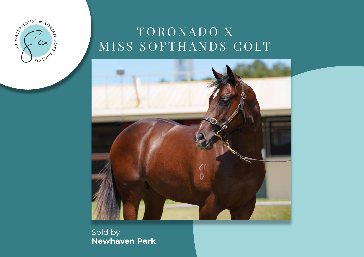

# TORONADO X MISS SOFTHANDS COLT



Sold by **Newhaven Park**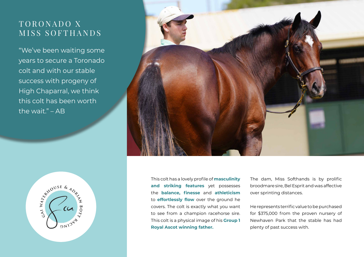## TORONADO X MISS SOFTHANDS

"We've been waiting some years to secure a Toronado colt and with our stable success with progeny of High Chaparral, we think this colt has been worth the wait." – AB





This colt has a lovely profile of **masculinity and striking features** yet possesses the **balance, finesse** and **athleticism**  to **effortlessly flow** over the ground he covers. The colt is exactly what you want to see from a champion racehorse sire. This colt is a physical image of his **Group 1 Royal Ascot winning father.** 

The dam, Miss Softhands is by prolific broodmare sire, Bel Esprit and was affective over sprinting distances.

He represents terrific value to be purchased for \$375,000 from the proven nursery of Newhaven Park that the stable has had plenty of past success with.